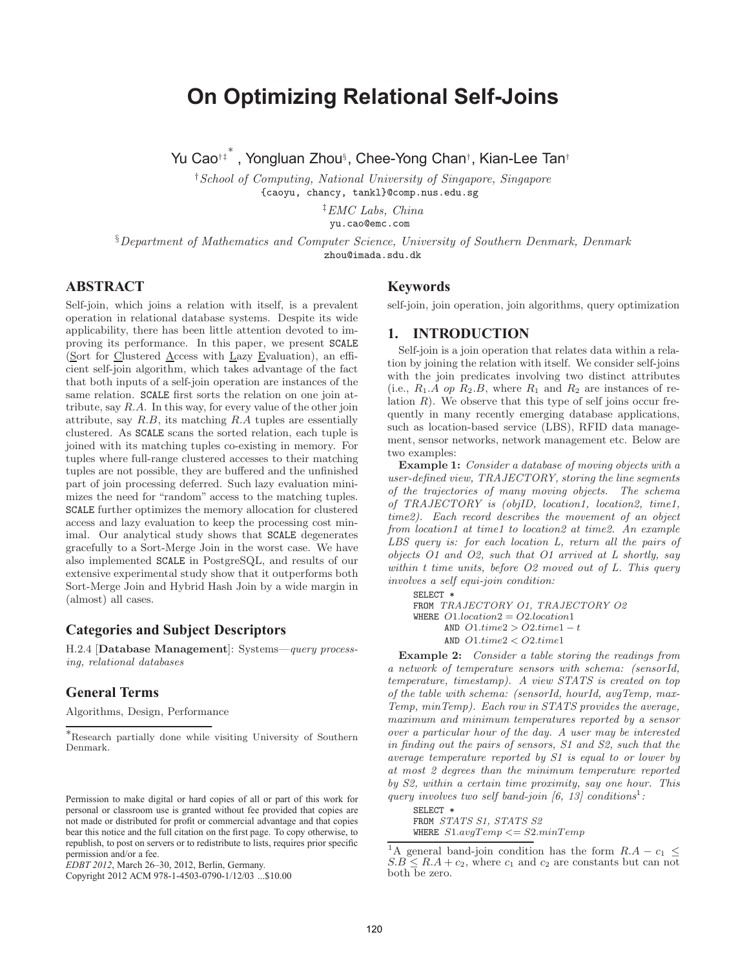# **On Optimizing Relational Self-Joins**

Yu Cao<sup>†‡\*</sup>, Yongluan Zhou§, Chee-Yong Chan<sup>†</sup>, Kian-Lee Tan<sup>†</sup>

†School of Computing, National University of Singapore, Singapore {caoyu, chancy, tankl}@comp.nus.edu.sg

‡EMC Labs, China

yu.cao@emc.com

§Department of Mathematics and Computer Science, University of Southern Denmark, Denmark zhou@imada.sdu.dk

## **ABSTRACT**

Self-join, which joins a relation with itself, is a prevalent operation in relational database systems. Despite its wide applicability, there has been little attention devoted to improving its performance. In this paper, we present SCALE (Sort for Clustered Access with Lazy Evaluation), an efficient self-join algorithm, which takes advantage of the fact that both inputs of a self-join operation are instances of the same relation. SCALE first sorts the relation on one join attribute, say  $R.A$ . In this way, for every value of the other join attribute, say  $R.B$ , its matching  $R.A$  tuples are essentially clustered. As SCALE scans the sorted relation, each tuple is joined with its matching tuples co-existing in memory. For tuples where full-range clustered accesses to their matching tuples are not possible, they are buffered and the unfinished part of join processing deferred. Such lazy evaluation minimizes the need for "random" access to the matching tuples. SCALE further optimizes the memory allocation for clustered access and lazy evaluation to keep the processing cost minimal. Our analytical study shows that SCALE degenerates gracefully to a Sort-Merge Join in the worst case. We have also implemented SCALE in PostgreSQL, and results of our extensive experimental study show that it outperforms both Sort-Merge Join and Hybrid Hash Join by a wide margin in (almost) all cases.

## **Categories and Subject Descriptors**

H.2.4 [**Database Management**]: Systems—query processing, relational databases

# **General Terms**

Algorithms, Design, Performance

Copyright 2012 ACM 978-1-4503-0790-1/12/03 ...\$10.00

#### **Keywords**

self-join, join operation, join algorithms, query optimization

# **1. INTRODUCTION**

Self-join is a join operation that relates data within a relation by joining the relation with itself. We consider self-joins with the join predicates involving two distinct attributes (i.e.,  $R_1.A$  op  $R_2.B$ , where  $R_1$  and  $R_2$  are instances of relation  $R$ ). We observe that this type of self joins occur frequently in many recently emerging database applications, such as location-based service (LBS), RFID data management, sensor networks, network management etc. Below are two examples:

**Example 1:** Consider a database of moving objects with a user-defined view, TRAJECTORY, storing the line segments of the trajectories of many moving objects. The schema of TRAJECTORY is (objID, location1, location2, time1, time2). Each record describes the movement of an object from location1 at time1 to location2 at time2. An example LBS query is: for each location L, return all the pairs of objects O1 and O2, such that O1 arrived at L shortly, say within t time units, before O2 moved out of L. This query involves a self equi-join condition:

SELECT \* FROM *TRAJECTORY 01, TRAJECTORY 02*<br>WHERE *O1 location*<sup>2</sup> = *O2 location*1 WHERE  $O1. location2 = O2. location1$ AND  $O1.time2 > O2.time1 - t$ AND  $O1.time2 < O2.time1$ 

**Example 2:** Consider a table storing the readings from a network of temperature sensors with schema: (sensorId, temperature, timestamp). A view STATS is created on top of the table with schema: (sensorId, hourId, avgTemp, max-Temp, minTemp). Each row in STATS provides the average, maximum and minimum temperatures reported by a sensor over a particular hour of the day. A user may be interested in finding out the pairs of sensors, S1 and S2, such that the average temperature reported by S1 is equal to or lower by at most 2 degrees than the minimum temperature reported by S2, within a certain time proximity, say one hour. This query involves two self band-join [6, 13] conditions<sup>1</sup>:

SELECT \* FROM STATS S1, STATS S2  $FROM$   $STATS$   $S1$ ,  $STATS$   $S2$ <br> $WHFRF$   $S1$   $avaTerm \, < =$   $S2$   $w$ WHERE  $S1.avgTemp \leq S2.minTemp$ 

<sup>∗</sup>Research partially done while visiting University of Southern Denmark.

Permission to make digital or hard copies of all or part of this work for personal or classroom use is granted without fee provided that copies are not made or distributed for profit or commercial advantage and that copies bear this notice and the full citation on the first page. To copy otherwise, to republish, to post on servers or to redistribute to lists, requires prior specific permission and/or a fee.

*EDBT 2012*, March 26–30, 2012, Berlin, Germany.

<sup>&</sup>lt;sup>1</sup>A general band-join condition has the form  $R.A - c_1$  <  $S.B \leq R.A + c_2$ , where  $c_1$  and  $c_2$  are constants but can not both be zero.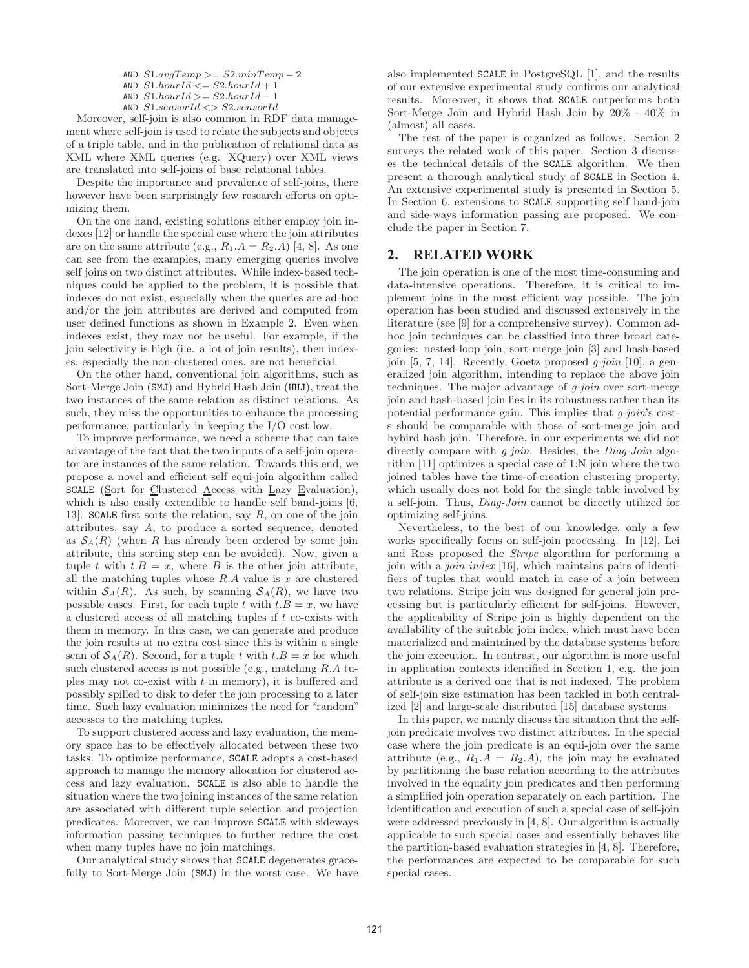AND  $S1.avgTemp \geq S2.minTemp - 2$ AND  $S1-hourId \leq S2-hourId + 1$ AND  $S1-hourId \geq S2-hourId - 1$ AND  $S1.$ sensor $Id \leq S2.$ sensor $Id$ 

Moreover, self-join is also common in RDF data management where self-join is used to relate the subjects and objects of a triple table, and in the publication of relational data as XML where XML queries (e.g. XQuery) over XML views are translated into self-joins of base relational tables.

Despite the importance and prevalence of self-joins, there however have been surprisingly few research efforts on optimizing them.

On the one hand, existing solutions either employ join indexes [12] or handle the special case where the join attributes are on the same attribute (e.g.,  $R_1.A = R_2.A$ ) [4, 8]. As one can see from the examples, many emerging queries involve self joins on two distinct attributes. While index-based techniques could be applied to the problem, it is possible that indexes do not exist, especially when the queries are ad-hoc and/or the join attributes are derived and computed from user defined functions as shown in Example 2. Even when indexes exist, they may not be useful. For example, if the join selectivity is high (i.e. a lot of join results), then indexes, especially the non-clustered ones, are not beneficial.

On the other hand, conventional join algorithms, such as Sort-Merge Join (SMJ) and Hybrid Hash Join (HHJ), treat the two instances of the same relation as distinct relations. As such, they miss the opportunities to enhance the processing performance, particularly in keeping the I/O cost low.

To improve performance, we need a scheme that can take advantage of the fact that the two inputs of a self-join operator are instances of the same relation. Towards this end, we propose a novel and efficient self equi-join algorithm called SCALE (Sort for Clustered Access with Lazy Evaluation), which is also easily extendible to handle self band-joins [6, 13. SCALE first sorts the relation, say  $R$ , on one of the join attributes, say A, to produce a sorted sequence, denoted as  $S_A(R)$  (when R has already been ordered by some join attribute, this sorting step can be avoided). Now, given a tuple t with  $t.B = x$ , where B is the other join attribute, all the matching tuples whose  $R.A$  value is  $x$  are clustered within  $S_A(R)$ . As such, by scanning  $S_A(R)$ , we have two possible cases. First, for each tuple t with  $t.B = x$ , we have a clustered access of all matching tuples if  $t$  co-exists with them in memory. In this case, we can generate and produce the join results at no extra cost since this is within a single scan of  $S_A(R)$ . Second, for a tuple t with  $t.B = x$  for which such clustered access is not possible (e.g., matching  $R.A$  tuples may not co-exist with  $t$  in memory), it is buffered and possibly spilled to disk to defer the join processing to a later time. Such lazy evaluation minimizes the need for "random" accesses to the matching tuples.

To support clustered access and lazy evaluation, the memory space has to be effectively allocated between these two tasks. To optimize performance, SCALE adopts a cost-based approach to manage the memory allocation for clustered access and lazy evaluation. SCALE is also able to handle the situation where the two joining instances of the same relation are associated with different tuple selection and projection predicates. Moreover, we can improve SCALE with sideways information passing techniques to further reduce the cost when many tuples have no join matchings.

Our analytical study shows that SCALE degenerates gracefully to Sort-Merge Join (SMJ) in the worst case. We have also implemented SCALE in PostgreSQL [1], and the results of our extensive experimental study confirms our analytical results. Moreover, it shows that SCALE outperforms both Sort-Merge Join and Hybrid Hash Join by 20% - 40% in (almost) all cases.

The rest of the paper is organized as follows. Section 2 surveys the related work of this paper. Section 3 discusses the technical details of the SCALE algorithm. We then present a thorough analytical study of SCALE in Section 4. An extensive experimental study is presented in Section 5. In Section 6, extensions to SCALE supporting self band-join and side-ways information passing are proposed. We conclude the paper in Section 7.

## **2. RELATED WORK**

The join operation is one of the most time-consuming and data-intensive operations. Therefore, it is critical to implement joins in the most efficient way possible. The join operation has been studied and discussed extensively in the literature (see [9] for a comprehensive survey). Common adhoc join techniques can be classified into three broad categories: nested-loop join, sort-merge join [3] and hash-based join  $[5, 7, 14]$ . Recently, Goetz proposed  $q$ -join  $[10]$ , a generalized join algorithm, intending to replace the above join techniques. The major advantage of  $q$ -join over sort-merge join and hash-based join lies in its robustness rather than its potential performance gain. This implies that  $q$ -join's costs should be comparable with those of sort-merge join and hybird hash join. Therefore, in our experiments we did not directly compare with *g-join*. Besides, the *Diag-Join* algorithm [11] optimizes a special case of 1:N join where the two joined tables have the time-of-creation clustering property, which usually does not hold for the single table involved by a self-join. Thus, Diag-Join cannot be directly utilized for optimizing self-joins.

Nevertheless, to the best of our knowledge, only a few works specifically focus on self-join processing. In [12], Lei and Ross proposed the Stripe algorithm for performing a join with a join index [16], which maintains pairs of identifiers of tuples that would match in case of a join between two relations. Stripe join was designed for general join processing but is particularly efficient for self-joins. However, the applicability of Stripe join is highly dependent on the availability of the suitable join index, which must have been materialized and maintained by the database systems before the join execution. In contrast, our algorithm is more useful in application contexts identified in Section 1, e.g. the join attribute is a derived one that is not indexed. The problem of self-join size estimation has been tackled in both centralized [2] and large-scale distributed [15] database systems.

In this paper, we mainly discuss the situation that the selfjoin predicate involves two distinct attributes. In the special case where the join predicate is an equi-join over the same attribute (e.g.,  $R_1.A = R_2.A$ ), the join may be evaluated by partitioning the base relation according to the attributes involved in the equality join predicates and then performing a simplified join operation separately on each partition. The identification and execution of such a special case of self-join were addressed previously in [4, 8]. Our algorithm is actually applicable to such special cases and essentially behaves like the partition-based evaluation strategies in [4, 8]. Therefore, the performances are expected to be comparable for such special cases.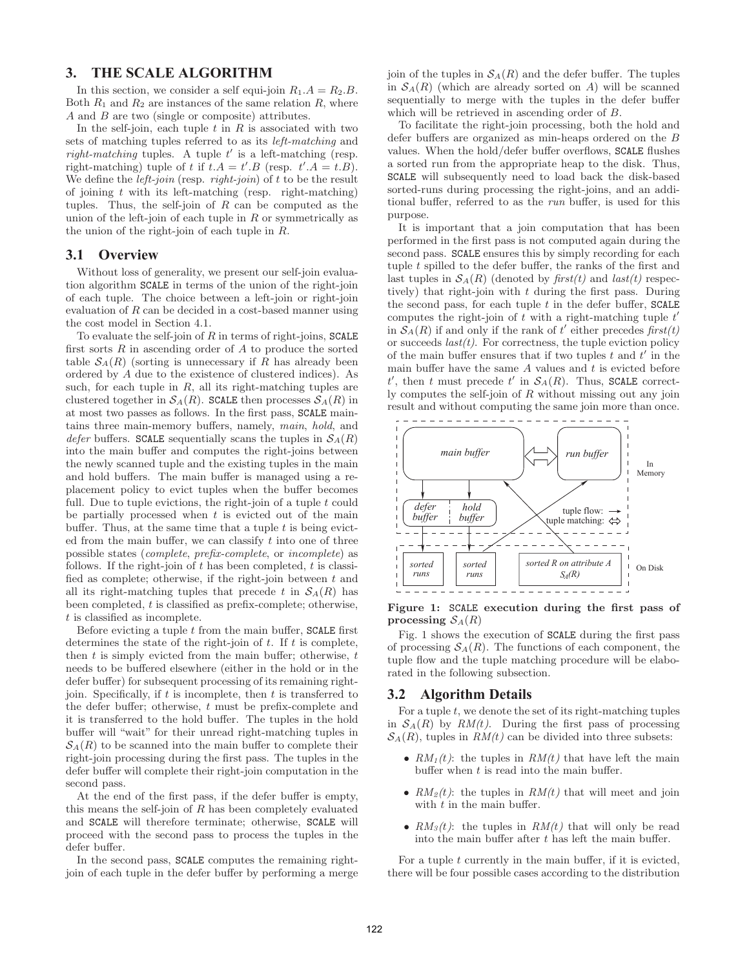## **3. THE SCALE ALGORITHM**

In this section, we consider a self equi-join  $R_1.A = R_2.B$ . Both  $R_1$  and  $R_2$  are instances of the same relation R, where A and B are two (single or composite) attributes.

In the self-join, each tuple  $t$  in  $R$  is associated with two sets of matching tuples referred to as its left-matching and right-matching tuples. A tuple  $t'$  is a left-matching (resp. right-matching) tuple of t if  $t.A = t'.B$  (resp.  $t'.A = t.B$ ). We define the *left-join* (resp.  $right-join$ ) of  $t$  to be the result of joining  $t$  with its left-matching (resp. right-matching) tuples. Thus, the self-join of  $R$  can be computed as the union of the left-join of each tuple in  $R$  or symmetrically as the union of the right-join of each tuple in R.

## **3.1 Overview**

Without loss of generality, we present our self-join evaluation algorithm SCALE in terms of the union of the right-join of each tuple. The choice between a left-join or right-join evaluation of R can be decided in a cost-based manner using the cost model in Section 4.1.

To evaluate the self-join of  $R$  in terms of right-joins, SCALE first sorts  $R$  in ascending order of  $A$  to produce the sorted table  $S_A(R)$  (sorting is unnecessary if R has already been ordered by A due to the existence of clustered indices). As such, for each tuple in  $R$ , all its right-matching tuples are clustered together in  $\mathcal{S}_{A}(R)$ . SCALE then processes  $\mathcal{S}_{A}(R)$  in at most two passes as follows. In the first pass, SCALE maintains three main-memory buffers, namely, main, hold, and defer buffers. SCALE sequentially scans the tuples in  $\mathcal{S}_{A}(R)$ into the main buffer and computes the right-joins between the newly scanned tuple and the existing tuples in the main and hold buffers. The main buffer is managed using a replacement policy to evict tuples when the buffer becomes full. Due to tuple evictions, the right-join of a tuple  $t$  could be partially processed when  $t$  is evicted out of the main buffer. Thus, at the same time that a tuple  $t$  is being evicted from the main buffer, we can classify  $t$  into one of three possible states (complete, prefix-complete, or incomplete) as follows. If the right-join of t has been completed, t is classified as complete; otherwise, if the right-join between  $t$  and all its right-matching tuples that precede t in  $S<sub>A</sub>(R)$  has been completed, t is classified as prefix-complete; otherwise,  $t$  is classified as incomplete.

Before evicting a tuple  $t$  from the main buffer, SCALE first determines the state of the right-join of  $t$ . If  $t$  is complete, then  $t$  is simply evicted from the main buffer; otherwise,  $t$ needs to be buffered elsewhere (either in the hold or in the defer buffer) for subsequent processing of its remaining rightjoin. Specifically, if  $t$  is incomplete, then  $t$  is transferred to the defer buffer; otherwise,  $t$  must be prefix-complete and it is transferred to the hold buffer. The tuples in the hold buffer will "wait" for their unread right-matching tuples in  $S_A(R)$  to be scanned into the main buffer to complete their right-join processing during the first pass. The tuples in the defer buffer will complete their right-join computation in the second pass.

At the end of the first pass, if the defer buffer is empty, this means the self-join of  $R$  has been completely evaluated and SCALE will therefore terminate; otherwise, SCALE will proceed with the second pass to process the tuples in the defer buffer.

In the second pass, SCALE computes the remaining rightjoin of each tuple in the defer buffer by performing a merge join of the tuples in  $S_A(R)$  and the defer buffer. The tuples in  $S_A(R)$  (which are already sorted on A) will be scanned sequentially to merge with the tuples in the defer buffer which will be retrieved in ascending order of B.

To facilitate the right-join processing, both the hold and defer buffers are organized as min-heaps ordered on the B values. When the hold/defer buffer overflows, SCALE flushes a sorted run from the appropriate heap to the disk. Thus, SCALE will subsequently need to load back the disk-based sorted-runs during processing the right-joins, and an additional buffer, referred to as the run buffer, is used for this purpose.

It is important that a join computation that has been performed in the first pass is not computed again during the second pass. SCALE ensures this by simply recording for each tuple t spilled to the defer buffer, the ranks of the first and last tuples in  $S<sub>A</sub>(R)$  (denoted by first(t) and last(t) respectively) that right-join with t during the first pass. During the second pass, for each tuple  $t$  in the defer buffer, SCALE computes the right-join of  $t$  with a right-matching tuple  $t'$ in  $S_A(R)$  if and only if the rank of t' either precedes first(t) or succeeds  $last(t)$ . For correctness, the tuple eviction policy of the main buffer ensures that if two tuples  $t$  and  $t'$  in the main buffer have the same  $A$  values and  $t$  is evicted before  $t'$ , then t must precede  $t'$  in  $\mathcal{S}_A(R)$ . Thus, SCALE correctly computes the self-join of R without missing out any join result and without computing the same join more than once.



**Figure 1:** SCALE **execution during the first pass of processing**  $S_A(R)$ 

Fig. 1 shows the execution of SCALE during the first pass of processing  $S_A(R)$ . The functions of each component, the tuple flow and the tuple matching procedure will be elaborated in the following subsection.

#### **3.2 Algorithm Details**

For a tuple  $t$ , we denote the set of its right-matching tuples in  $S_A(R)$  by  $RM(t)$ . During the first pass of processing  $S_A(R)$ , tuples in  $RM(t)$  can be divided into three subsets:

- $RM_1(t)$ : the tuples in  $RM(t)$  that have left the main buffer when  $t$  is read into the main buffer.
- $RM_2(t)$ : the tuples in  $RM(t)$  that will meet and join with  $t$  in the main buffer.
- $RM_3(t)$ : the tuples in  $RM(t)$  that will only be read into the main buffer after  $t$  has left the main buffer.

For a tuple  $t$  currently in the main buffer, if it is evicted, there will be four possible cases according to the distribution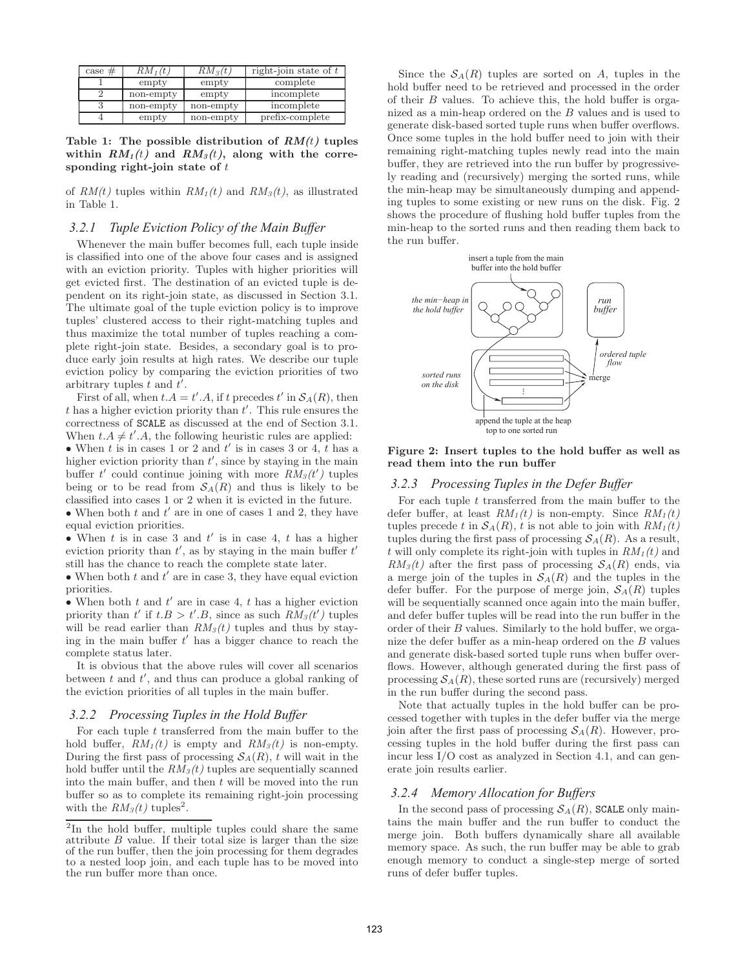| case $#$ | $RM_1(t)$ | $RM_3(t)$ | right-join state of $t$ |
|----------|-----------|-----------|-------------------------|
|          | empty     | empty     | complete                |
|          | non-empty | empty     | incomplete              |
|          | non-empty | non-empty | incomplete              |
|          | empty     | non-empty | prefix-complete         |

Table 1: The possible distribution of  $RM(t)$  tuples within  $RM_1(t)$  and  $RM_3(t)$ , along with the corre**sponding right-join state of** t

of  $RM(t)$  tuples within  $RM_1(t)$  and  $RM_3(t)$ , as illustrated in Table 1.

#### *3.2.1 Tuple Eviction Policy of the Main Buffer*

Whenever the main buffer becomes full, each tuple inside is classified into one of the above four cases and is assigned with an eviction priority. Tuples with higher priorities will get evicted first. The destination of an evicted tuple is dependent on its right-join state, as discussed in Section 3.1. The ultimate goal of the tuple eviction policy is to improve tuples' clustered access to their right-matching tuples and thus maximize the total number of tuples reaching a complete right-join state. Besides, a secondary goal is to produce early join results at high rates. We describe our tuple eviction policy by comparing the eviction priorities of two arbitrary tuples t and  $\hat{t'}$ .

First of all, when  $t.A = t'.A$ , if t precedes  $t'$  in  $\mathcal{S}_A(R)$ , then t has a higher eviction priority than  $t'$ . This rule ensures the correctness of SCALE as discussed at the end of Section 3.1. When  $t.A \neq t'.A$ , the following heuristic rules are applied:

• When  $t$  is in cases 1 or 2 and  $t'$  is in cases 3 or 4,  $\overline{t}$  has a higher eviction priority than  $t'$ , since by staying in the main buffer t' could continue joining with more  $\overrightarrow{RM}_{3}(t')$  tuples being or to be read from  $S_A(R)$  and thus is likely to be classified into cases 1 or 2 when it is evicted in the future.

• When both  $t$  and  $t'$  are in one of cases 1 and 2, they have equal eviction priorities.

• When t is in case 3 and t' is in case 4, t has a higher eviction priority than  $t'$ , as by staying in the main buffer  $t'$ still has the chance to reach the complete state later.

• When both  $t$  and  $t'$  are in case 3, they have equal eviction priorities.

• When both  $t$  and  $t'$  are in case 4,  $t$  has a higher eviction priority than t' if  $t.B > t'.B$ , since as such  $\widetilde{RM}_3(t')$  tuples will be read earlier than  $RM_3(t)$  tuples and thus by staying in the main buffer  $t'$  has a bigger chance to reach the complete status later.

It is obvious that the above rules will cover all scenarios between  $t$  and  $t'$ , and thus can produce a global ranking of the eviction priorities of all tuples in the main buffer.

#### *3.2.2 Processing Tuples in the Hold Buffer*

For each tuple  $t$  transferred from the main buffer to the hold buffer,  $RM_1(t)$  is empty and  $RM_3(t)$  is non-empty. During the first pass of processing  $S_A(R)$ , t will wait in the hold buffer until the  $RM_3(t)$  tuples are sequentially scanned into the main buffer, and then  $t$  will be moved into the run buffer so as to complete its remaining right-join processing with the  $RM_3(t)$  tuples<sup>2</sup>.

Since the  $S_A(R)$  tuples are sorted on A, tuples in the hold buffer need to be retrieved and processed in the order of their B values. To achieve this, the hold buffer is organized as a min-heap ordered on the B values and is used to generate disk-based sorted tuple runs when buffer overflows. Once some tuples in the hold buffer need to join with their remaining right-matching tuples newly read into the main buffer, they are retrieved into the run buffer by progressively reading and (recursively) merging the sorted runs, while the min-heap may be simultaneously dumping and appending tuples to some existing or new runs on the disk. Fig. 2 shows the procedure of flushing hold buffer tuples from the min-heap to the sorted runs and then reading them back to the run buffer.



**Figure 2: Insert tuples to the hold buffer as well as read them into the run buffer**

#### *3.2.3 Processing Tuples in the Defer Buffer*

For each tuple  $t$  transferred from the main buffer to the defer buffer, at least  $RM_1(t)$  is non-empty. Since  $RM_1(t)$ tuples precede t in  $S_A(R)$ , t is not able to join with  $RM_1(t)$ tuples during the first pass of processing  $S_A(R)$ . As a result, t will only complete its right-join with tuples in  $RM_1(t)$  and  $RM<sub>3</sub>(t)$  after the first pass of processing  $S<sub>A</sub>(R)$  ends, via a merge join of the tuples in  $S<sub>A</sub>(R)$  and the tuples in the defer buffer. For the purpose of merge join,  $S<sub>A</sub>(R)$  tuples will be sequentially scanned once again into the main buffer, and defer buffer tuples will be read into the run buffer in the order of their B values. Similarly to the hold buffer, we organize the defer buffer as a min-heap ordered on the B values and generate disk-based sorted tuple runs when buffer overflows. However, although generated during the first pass of processing  $S_A(R)$ , these sorted runs are (recursively) merged in the run buffer during the second pass.

Note that actually tuples in the hold buffer can be processed together with tuples in the defer buffer via the merge join after the first pass of processing  $S<sub>A</sub>(R)$ . However, processing tuples in the hold buffer during the first pass can incur less I/O cost as analyzed in Section 4.1, and can generate join results earlier.

#### *3.2.4 Memory Allocation for Buffers*

In the second pass of processing  $S<sub>A</sub>(R)$ , SCALE only maintains the main buffer and the run buffer to conduct the merge join. Both buffers dynamically share all available memory space. As such, the run buffer may be able to grab enough memory to conduct a single-step merge of sorted runs of defer buffer tuples.

<sup>2</sup>In the hold buffer, multiple tuples could share the same attribute  $B$  value. If their total size is larger than the size of the run buffer, then the join processing for them degrades to a nested loop join, and each tuple has to be moved into the run buffer more than once.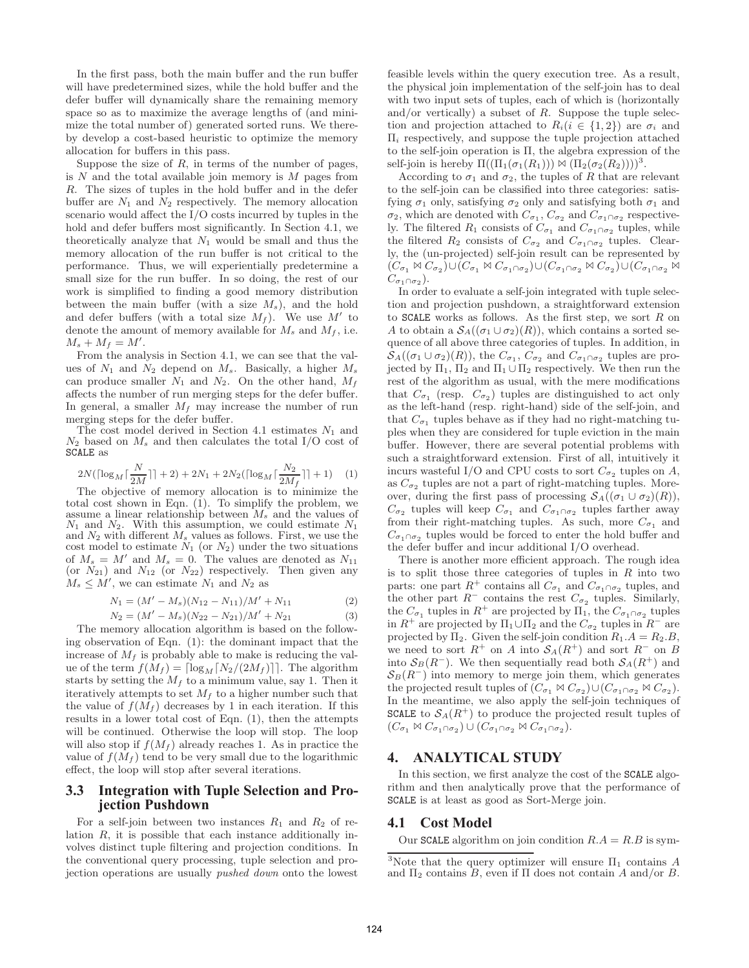In the first pass, both the main buffer and the run buffer will have predetermined sizes, while the hold buffer and the defer buffer will dynamically share the remaining memory space so as to maximize the average lengths of (and minimize the total number of) generated sorted runs. We thereby develop a cost-based heuristic to optimize the memory allocation for buffers in this pass.

Suppose the size of  $R$ , in terms of the number of pages, is  $N$  and the total available join memory is  $M$  pages from R. The sizes of tuples in the hold buffer and in the defer buffer are  $N_1$  and  $N_2$  respectively. The memory allocation scenario would affect the I/O costs incurred by tuples in the hold and defer buffers most significantly. In Section 4.1, we theoretically analyze that  $N_1$  would be small and thus the memory allocation of the run buffer is not critical to the performance. Thus, we will experientially predetermine a small size for the run buffer. In so doing, the rest of our work is simplified to finding a good memory distribution between the main buffer (with a size  $M_s$ ), and the hold and defer buffers (with a total size  $M_f$ ). We use M' to denote the amount of memory available for  $M_s$  and  $M_f$ , i.e.  $M_s + M_f = M'.$ 

From the analysis in Section 4.1, we can see that the values of  $N_1$  and  $N_2$  depend on  $M_s$ . Basically, a higher  $M_s$ can produce smaller  $N_1$  and  $N_2$ . On the other hand,  $M_f$ affects the number of run merging steps for the defer buffer. In general, a smaller  $M_f$  may increase the number of run merging steps for the defer buffer.

The cost model derived in Section 4.1 estimates  $N_1$  and  $N_2$  based on  $M_s$  and then calculates the total I/O cost of SCALE as

$$
2N(\lceil \log_M \lceil \frac{N}{2M} \rceil \rceil + 2) + 2N_1 + 2N_2(\lceil \log_M \lceil \frac{N_2}{2M_f} \rceil + 1) \tag{1}
$$

The objective of memory allocation is to minimize the total cost shown in Eqn.  $(i)$ . To simplify the problem, we assume a linear relationship between  $M_s$  and the values of  $N_1$  and  $N_2$ . With this assumption, we could estimate  $N_1$ and  $N_2$  with different  $M_s$  values as follows. First, we use the cost model to estimate  $N_1$  (or  $N_2$ ) under the two situations of  $M_s = M'$  and  $M_s = 0$ . The values are denoted as  $N_{11}$ (or  $N_{21}$ ) and  $N_{12}$  (or  $N_{22}$ ) respectively. Then given any  $M_s \leq M'$ , we can estimate  $N_1$  and  $N_2$  as

$$
N_1 = (M' - M_s)(N_{12} - N_{11})/M' + N_{11}
$$
\n(2)

$$
N_2 = (M' - M_s)(N_{22} - N_{21})/M' + N_{21}
$$
\n(3)

The memory allocation algorithm is based on the following observation of Eqn. (1): the dominant impact that the increase of  $M_f$  is probably able to make is reducing the value of the term  $f(M_f) = \lceil \log_M \lceil N_2 / (2M_f) \rceil \rceil$ . The algorithm starts by setting the  $M_f$  to a minimum value, say 1. Then it iteratively attempts to set  $M_f$  to a higher number such that the value of  $f(M_f)$  decreases by 1 in each iteration. If this results in a lower total cost of Eqn. (1), then the attempts will be continued. Otherwise the loop will stop. The loop will also stop if  $f(M_f)$  already reaches 1. As in practice the value of  $f(M_f)$  tend to be very small due to the logarithmic effect, the loop will stop after several iterations.

## **3.3 Integration with Tuple Selection and Projection Pushdown**

For a self-join between two instances  $R_1$  and  $R_2$  of relation R, it is possible that each instance additionally involves distinct tuple filtering and projection conditions. In the conventional query processing, tuple selection and projection operations are usually pushed down onto the lowest

feasible levels within the query execution tree. As a result, the physical join implementation of the self-join has to deal with two input sets of tuples, each of which is (horizontally and/or vertically) a subset of  $R$ . Suppose the tuple selection and projection attached to  $R_i (i \in \{1,2\})$  are  $\sigma_i$  and  $\Pi_i$  respectively, and suppose the tuple projection attached to the self-join operation is Π, the algebra expression of the self-join is hereby  $\Pi((\Pi_1(\sigma_1(R_1))) \bowtie (\Pi_2(\sigma_2(R_2))))^3$ .

According to  $\sigma_1$  and  $\sigma_2$ , the tuples of R that are relevant to the self-join can be classified into three categories: satisfying  $\sigma_1$  only, satisfying  $\sigma_2$  only and satisfying both  $\sigma_1$  and  $\sigma_2$ , which are denoted with  $C_{\sigma_1}$ ,  $C_{\sigma_2}$  and  $C_{\sigma_1 \cap \sigma_2}$  respectively. The filtered  $R_1$  consists of  $C_{\sigma_1}$  and  $C_{\sigma_1 \cap \sigma_2}$  tuples, while the filtered  $R_2$  consists of  $C_{\sigma_2}$  and  $C_{\sigma_1 \cap \sigma_2}$  tuples. Clearly, the (un-projected) self-join result can be represented by  $(C_{\sigma_1} \bowtie C_{\sigma_2}) \cup (C_{\sigma_1} \bowtie C_{\sigma_1 \cap \sigma_2}) \cup (C_{\sigma_1 \cap \sigma_2} \bowtie C_{\sigma_2}) \cup (C_{\sigma_1 \cap \sigma_2} \bowtie C_{\sigma_1})$  $C_{\sigma_1 \cap \sigma_2}$ ).

In order to evaluate a self-join integrated with tuple selection and projection pushdown, a straightforward extension to SCALE works as follows. As the first step, we sort  $R$  on A to obtain a  $S_A((\sigma_1 \cup \sigma_2)(R))$ , which contains a sorted sequence of all above three categories of tuples. In addition, in  $S_A((\sigma_1 \cup \sigma_2)(R))$ , the  $C_{\sigma_1}$ ,  $C_{\sigma_2}$  and  $C_{\sigma_1 \cap \sigma_2}$  tuples are projected by  $\Pi_1$ ,  $\Pi_2$  and  $\Pi_1 \cup \Pi_2$  respectively. We then run the rest of the algorithm as usual, with the mere modifications that  $C_{\sigma_1}$  (resp.  $C_{\sigma_2}$ ) tuples are distinguished to act only as the left-hand (resp. right-hand) side of the self-join, and that  $C_{\sigma_1}$  tuples behave as if they had no right-matching tuples when they are considered for tuple eviction in the main buffer. However, there are several potential problems with such a straightforward extension. First of all, intuitively it incurs wasteful I/O and CPU costs to sort  $C_{\sigma_2}$  tuples on A, as  $C_{\sigma_2}$  tuples are not a part of right-matching tuples. Moreover, during the first pass of processing  $S_A((\sigma_1 \cup \sigma_2)(R)),$  $C_{\sigma_2}$  tuples will keep  $C_{\sigma_1}$  and  $C_{\sigma_1 \cap \sigma_2}$  tuples farther away from their right-matching tuples. As such, more  $C_{\sigma_1}$  and  $C_{\sigma_1 \cap \sigma_2}$  tuples would be forced to enter the hold buffer and the defer buffer and incur additional I/O overhead.

There is another more efficient approach. The rough idea is to split those three categories of tuples in  $R$  into two parts: one part  $R^+$  contains all  $C_{\sigma_1}$  and  $C_{\sigma_1 \cap \sigma_2}$  tuples, and the other part  $R^-$  contains the rest  $C_{\sigma_2}$  tuples. Similarly, the  $C_{\sigma_1}$  tuples in  $R^+$  are projected by  $\Pi_1$ , the  $C_{\sigma_1 \cap \sigma_2}$  tuples in  $R^+$  are projected by  $\Pi_1 \cup \Pi_2$  and the  $C_{\sigma_2}$  tuples in  $R^-$  are projected by  $\Pi_2$ . Given the self-join condition  $R_1.A = R_2.B$ , we need to sort  $R^+$  on A into  $S_A(R^+)$  and sort  $R^-$  on B into  $S_B(R^-)$ . We then sequentially read both  $S_A(R^+)$  and  $S_B(R^-)$  into memory to merge join them, which generates the projected result tuples of  $(C_{\sigma_1} \bowtie C_{\sigma_2}) \cup (C_{\sigma_1 \cap \sigma_2} \bowtie C_{\sigma_2}).$ In the meantime, we also apply the self-join techniques of SCALE to  $S_A(R^+)$  to produce the projected result tuples of  $(C_{\sigma_1} \boxtimes C_{\sigma_1 \cap \sigma_2}) \cup (C_{\sigma_1 \cap \sigma_2} \boxtimes C_{\sigma_1 \cap \sigma_2}).$ 

## **4. ANALYTICAL STUDY**

In this section, we first analyze the cost of the SCALE algorithm and then analytically prove that the performance of SCALE is at least as good as Sort-Merge join.

#### **4.1 Cost Model**

Our SCALE algorithm on join condition  $R.A = R.B$  is sym-

<sup>&</sup>lt;sup>3</sup>Note that the query optimizer will ensure  $\Pi_1$  contains A and  $\Pi_2$  contains  $\tilde{B}$ , even if  $\Pi$  does not contain A and/or  $B$ .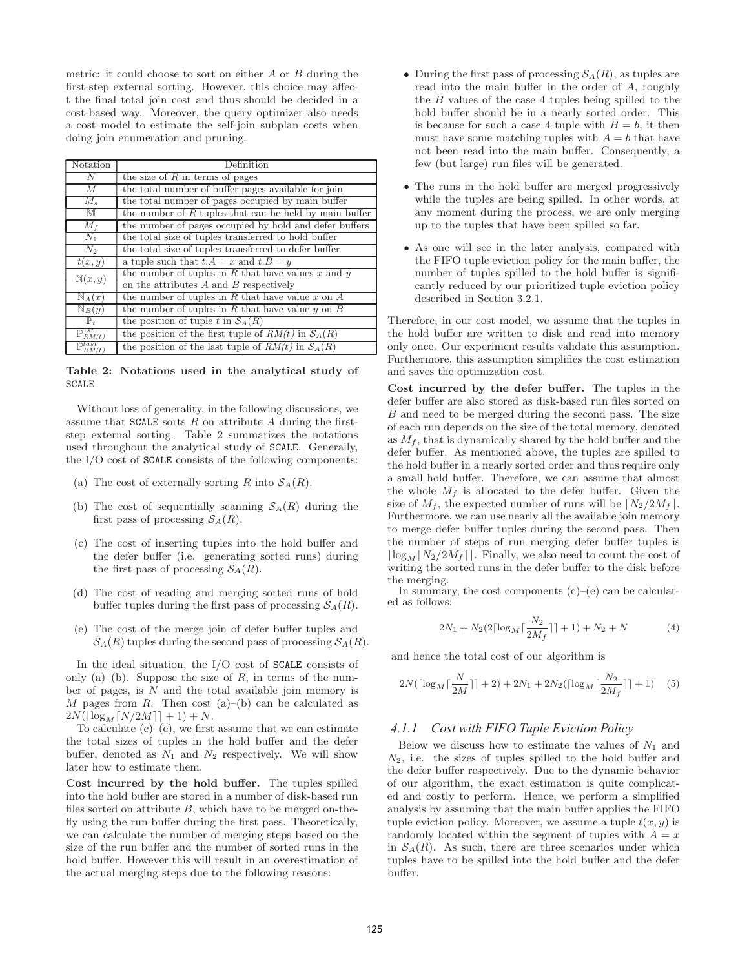metric: it could choose to sort on either A or B during the first-step external sorting. However, this choice may affect the final total join cost and thus should be decided in a cost-based way. Moreover, the query optimizer also needs a cost model to estimate the self-join subplan costs when doing join enumeration and pruning.

| Notation                   | Definition                                               |  |  |
|----------------------------|----------------------------------------------------------|--|--|
| N                          | the size of $R$ in terms of pages                        |  |  |
| $\boldsymbol{M}$           | the total number of buffer pages available for join      |  |  |
| $M_{s}$                    | the total number of pages occupied by main buffer        |  |  |
| M                          | the number of $R$ tuples that can be held by main buffer |  |  |
| $M_f$                      | the number of pages occupied by hold and defer buffers   |  |  |
| $N_1$                      | the total size of tuples transferred to hold buffer      |  |  |
| $N_2$                      | the total size of tuples transferred to defer buffer     |  |  |
| t(x,y)                     | a tuple such that $t.A = x$ and $t.B = y$                |  |  |
| $\mathbb{N}(x,y)$          | the number of tuples in R that have values x and $y$     |  |  |
|                            | on the attributes $A$ and $B$ respectively               |  |  |
| $\mathbb{N}_A(x)$          | the number of tuples in R that have value x on A         |  |  |
| $N_B(y)$                   | the number of tuples in R that have value $y$ on B       |  |  |
| $\mathbb{P}_t$             | the position of tuple t in $S_A(R)$                      |  |  |
| $\mathbb{P}^{1st}_{RM(t)}$ | the position of the first tuple of $RM(t)$ in $SA(R)$    |  |  |
| $\mathbb{D}$ last<br>RM(t) | the position of the last tuple of $RM(t)$ in $SA(R)$     |  |  |

**Table 2: Notations used in the analytical study of** SCALE

Without loss of generality, in the following discussions, we assume that SCALE sorts  $R$  on attribute  $A$  during the firststep external sorting. Table 2 summarizes the notations used throughout the analytical study of SCALE. Generally, the I/O cost of SCALE consists of the following components:

- (a) The cost of externally sorting R into  $S<sub>A</sub>(R)$ .
- (b) The cost of sequentially scanning  $S_A(R)$  during the first pass of processing  $S<sub>A</sub>(R)$ .
- (c) The cost of inserting tuples into the hold buffer and the defer buffer (i.e. generating sorted runs) during the first pass of processing  $S_A(R)$ .
- (d) The cost of reading and merging sorted runs of hold buffer tuples during the first pass of processing  $S_A(R)$ .
- (e) The cost of the merge join of defer buffer tuples and  $S_A(R)$  tuples during the second pass of processing  $S_A(R)$ .

In the ideal situation, the I/O cost of SCALE consists of only (a)–(b). Suppose the size of R, in terms of the number of pages, is  $N$  and the total available join memory is M pages from R. Then cost  $(a)$ – $(b)$  can be calculated as  $2N(\lceil \log_M \lceil N/2M \rceil] + 1) + N.$ 

To calculate  $(c)$ – $(e)$ , we first assume that we can estimate the total sizes of tuples in the hold buffer and the defer buffer, denoted as  $N_1$  and  $N_2$  respectively. We will show later how to estimate them.

**Cost incurred by the hold buffer.** The tuples spilled into the hold buffer are stored in a number of disk-based run files sorted on attribute  $B$ , which have to be merged on-thefly using the run buffer during the first pass. Theoretically, we can calculate the number of merging steps based on the size of the run buffer and the number of sorted runs in the hold buffer. However this will result in an overestimation of the actual merging steps due to the following reasons:

- During the first pass of processing  $S<sub>A</sub>(R)$ , as tuples are read into the main buffer in the order of A, roughly the B values of the case 4 tuples being spilled to the hold buffer should be in a nearly sorted order. This is because for such a case 4 tuple with  $B = b$ , it then must have some matching tuples with  $A = b$  that have not been read into the main buffer. Consequently, a few (but large) run files will be generated.
- The runs in the hold buffer are merged progressively while the tuples are being spilled. In other words, at any moment during the process, we are only merging up to the tuples that have been spilled so far.
- As one will see in the later analysis, compared with the FIFO tuple eviction policy for the main buffer, the number of tuples spilled to the hold buffer is significantly reduced by our prioritized tuple eviction policy described in Section 3.2.1.

Therefore, in our cost model, we assume that the tuples in the hold buffer are written to disk and read into memory only once. Our experiment results validate this assumption. Furthermore, this assumption simplifies the cost estimation and saves the optimization cost.

**Cost incurred by the defer buffer.** The tuples in the defer buffer are also stored as disk-based run files sorted on B and need to be merged during the second pass. The size of each run depends on the size of the total memory, denoted as  $M_f$ , that is dynamically shared by the hold buffer and the defer buffer. As mentioned above, the tuples are spilled to the hold buffer in a nearly sorted order and thus require only a small hold buffer. Therefore, we can assume that almost the whole  $M_f$  is allocated to the defer buffer. Given the size of  $M_f$ , the expected number of runs will be  $[N_2/2M_f]$ . Furthermore, we can use nearly all the available join memory to merge defer buffer tuples during the second pass. Then the number of steps of run merging defer buffer tuples is  $\lceil \log_M \lceil N_2/2M_f \rceil \rceil$ . Finally, we also need to count the cost of writing the sorted runs in the defer buffer to the disk before the merging.

In summary, the cost components  $(c)$ – $(e)$  can be calculated as follows:

$$
2N_1 + N_2(2\lceil \log_M \lceil \frac{N_2}{2M_f} \rceil \rceil + 1) + N_2 + N \tag{4}
$$

and hence the total cost of our algorithm is

$$
2N(\lceil \log_M \lceil \frac{N}{2M} \rceil \rceil + 2) + 2N_1 + 2N_2(\lceil \log_M \lceil \frac{N_2}{2M_f} \rceil + 1) \tag{5}
$$

#### *4.1.1 Cost with FIFO Tuple Eviction Policy*

Below we discuss how to estimate the values of  $N_1$  and  $N_2$ , i.e. the sizes of tuples spilled to the hold buffer and the defer buffer respectively. Due to the dynamic behavior of our algorithm, the exact estimation is quite complicated and costly to perform. Hence, we perform a simplified analysis by assuming that the main buffer applies the FIFO tuple eviction policy. Moreover, we assume a tuple  $t(x, y)$  is randomly located within the segment of tuples with  $A = x$ in  $S_A(R)$ . As such, there are three scenarios under which tuples have to be spilled into the hold buffer and the defer buffer.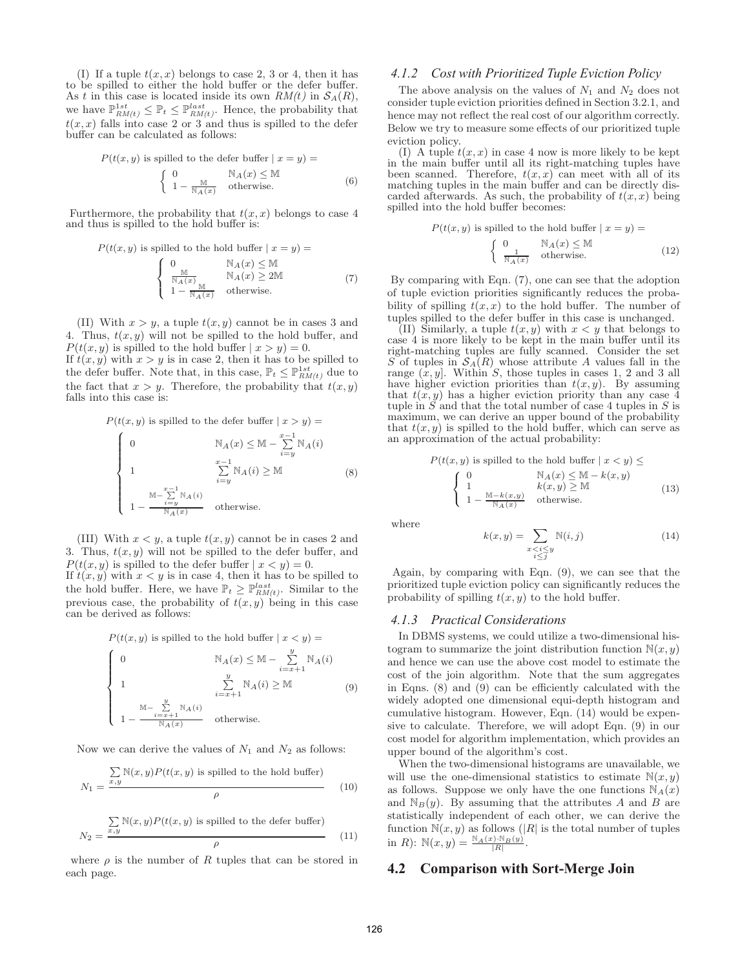(I) If a tuple  $t(x, x)$  belongs to case 2, 3 or 4, then it has to be spilled to either the hold buffer or the defer buffer. As t in this case is located inside its own  $RM(t)$  in  $S<sub>A</sub>(R)$ , we have  $\mathbb{P}_{RM(t)}^{1st} \leq \mathbb{P}_t \leq \mathbb{P}_{RM(t)}^{last}$ . Hence, the probability that  $t(x, x)$  falls into case 2 or 3 and thus is spilled to the defer buffer can be calculated as follows:

$$
P(t(x, y) \text{ is spilled to the defer buffer} \mid x = y) =
$$
\n
$$
\begin{cases}\n0 & \mathbb{N}_A(x) \le \mathbb{M} \\
1 - \frac{\mathbb{M}}{\mathbb{N}_A(x)} & \text{otherwise.} \n\end{cases}
$$
\n(6)

Furthermore, the probability that  $t(x, x)$  belongs to case 4 and thus is spilled to the hold buffer is:

$$
P(t(x, y) \text{ is spilled to the hold buffer } | x = y) =
$$
\n
$$
\begin{cases}\n0 & \text{N}_A(x) \leq \mathbb{M} \\
\frac{\mathbb{M}}{\mathbb{N}_A(x)} & \text{N}_A(x) \geq 2\mathbb{M} \\
1 - \frac{\mathbb{M}}{\mathbb{N}_A(x)} & \text{otherwise.} \n\end{cases}
$$
\n(7)

(II) With  $x > y$ , a tuple  $t(x, y)$  cannot be in cases 3 and 4. Thus,  $t(x, y)$  will not be spilled to the hold buffer, and  $P(t(x, y)$  is spilled to the hold buffer  $|x > y$  = 0.

If  $t(x, y)$  with  $x > y$  is in case 2, then it has to be spilled to the defer buffer. Note that, in this case,  $\mathbb{P}_t \leq \mathbb{P}_{RM(t)}^{1st}$  due to the fact that  $x>y$ . Therefore, the probability that  $t(x, y)$ falls into this case is:

$$
P(t(x, y)
$$
 is spelled to the defer buffer  $|x > y) =$ 

$$
\begin{cases}\n0 & \mathbb{N}_A(x) \leq \mathbb{M} - \sum_{i=y}^{x-1} \mathbb{N}_A(i) \\
1 & \sum_{i=y}^{x-1} \mathbb{N}_A(i) \geq \mathbb{M} \\
1 - \sum_{i=y}^{x-1} \mathbb{N}_A(i) & \text{otherwise.} \n\end{cases} \tag{8}
$$

(III) With  $x < y$ , a tuple  $t(x, y)$  cannot be in cases 2 and 3. Thus,  $t(x, y)$  will not be spilled to the defer buffer, and  $P(t(x, y)$  is spilled to the defer buffer  $|x < y$  = 0.

If  $t(x, y)$  with  $x < y$  is in case 4, then it has to be spilled to the hold buffer. Here, we have  $\mathbb{P}_t \geq \mathbb{P}_{RM(t)}^{last}$ . Similar to the previous case, the probability of  $t(x, y)$  being in this case can be derived as follows:

$$
P(t(x, y)
$$
 is spilled to the hold buffer  $|x < y)$ 

$$
\left\{ \begin{array}{ll} 0 & \qquad \mathbb{N}_A(x) \leq \mathbb{M} - \sum\limits_{i=x+1}^y \mathbb{N}_A(i) \\ & \\ 1 & \qquad \sum\limits_{i=x+1}^y \mathbb{N}_A(i) \geq \mathbb{M} \\ & \\ 1 - \frac{\mathbb{M} - \sum\limits_{i=x+1}^y \mathbb{N}_A(i)}{\mathbb{N}_A(x)} & \text{otherwise.} \end{array} \right. \tag{9}
$$

Now we can derive the values of  $N_1$  and  $N_2$  as follows:

$$
N_1 = \frac{\sum_{x,y} \mathbb{N}(x,y) P(t(x,y) \text{ is spilled to the hold buffer})}{\rho} \tag{10}
$$

$$
N_2 = \frac{\sum_{x,y} \mathbb{N}(x,y) P(t(x,y) \text{ is spilled to the defer buffer})}{\rho} \tag{11}
$$

where  $\rho$  is the number of R tuples that can be stored in each page.

#### *4.1.2 Cost with Prioritized Tuple Eviction Policy*

The above analysis on the values of  $N_1$  and  $N_2$  does not consider tuple eviction priorities defined in Section 3.2.1, and hence may not reflect the real cost of our algorithm correctly. Below we try to measure some effects of our prioritized tuple eviction policy.

(I) A tuple  $t(x, x)$  in case 4 now is more likely to be kept in the main buffer until all its right-matching tuples have been scanned. Therefore,  $t(x, x)$  can meet with all of its matching tuples in the main buffer and can be directly discarded afterwards. As such, the probability of  $t(x, x)$  being spilled into the hold buffer becomes:

$$
P(t(x, y) \text{ is spilled to the hold buffer } | x = y) =
$$
\n
$$
\begin{cases}\n0 & \mathbb{N}_A(x) \leq \mathbb{M} \\
\frac{1}{\mathbb{N}_A(x)} & \text{otherwise.} \n\end{cases}
$$
\n(12)

By comparing with Eqn. (7), one can see that the adoption of tuple eviction priorities significantly reduces the probability of spilling  $t(x, x)$  to the hold buffer. The number of tuples spilled to the defer buffer in this case is unchanged.

(II) Similarly, a tuple  $t(x, y)$  with  $x < y$  that belongs to case 4 is more likely to be kept in the main buffer until its right-matching tuples are fully scanned. Consider the set S of tuples in  $\mathcal{S}_A(R)$  whose attribute A values fall in the range  $(x, y]$ . Within S, those tuples in cases 1, 2 and 3 all have higher eviction priorities than  $t(x, y)$ . By assuming that  $t(x, y)$  has a higher eviction priority than any case 4 tuple in  $\tilde{S}$  and that the total number of case 4 tuples in  $S$  is maximum, we can derive an upper bound of the probability that  $t(x, y)$  is spilled to the hold buffer, which can serve as an approximation of the actual probability:

$$
P(t(x, y) \text{ is spilled to the hold buffer} \mid x < y) \le
$$
\n
$$
\begin{cases}\n0 & \mathbb{N}_A(x) \le \mathbb{M} - k(x, y) \\
1 & k(x, y) \ge \mathbb{M} \\
1 - \frac{\mathbb{M} - k(x, y)}{\mathbb{N}_A(x)} & \text{otherwise.} \n\end{cases}\n\tag{13}
$$

where

$$
k(x,y) = \sum_{\substack{x < i \le y \\ i \le j}} \mathbb{N}(i,j) \tag{14}
$$

Again, by comparing with Eqn. (9), we can see that the prioritized tuple eviction policy can significantly reduces the probability of spilling  $t(x, y)$  to the hold buffer.

#### *4.1.3 Practical Considerations*

In DBMS systems, we could utilize a two-dimensional histogram to summarize the joint distribution function  $N(x, y)$ and hence we can use the above cost model to estimate the cost of the join algorithm. Note that the sum aggregates in Eqns. (8) and (9) can be efficiently calculated with the widely adopted one dimensional equi-depth histogram and cumulative histogram. However, Eqn. (14) would be expensive to calculate. Therefore, we will adopt Eqn. (9) in our cost model for algorithm implementation, which provides an upper bound of the algorithm's cost.

When the two-dimensional histograms are unavailable, we will use the one-dimensional statistics to estimate  $\mathbb{N}(x, y)$ as follows. Suppose we only have the one functions  $\mathbb{N}_A(x)$ and  $N_B(y)$ . By assuming that the attributes A and B are statistically independent of each other, we can derive the function  $\mathbb{N}(x, y)$  as follows (|R| is the total number of tuples in R):  $\mathbb{N}(x, y) = \frac{\mathbb{N}_A(x) \cdot \mathbb{N}_B(y)}{|R|}$ .

#### **4.2 Comparison with Sort-Merge Join**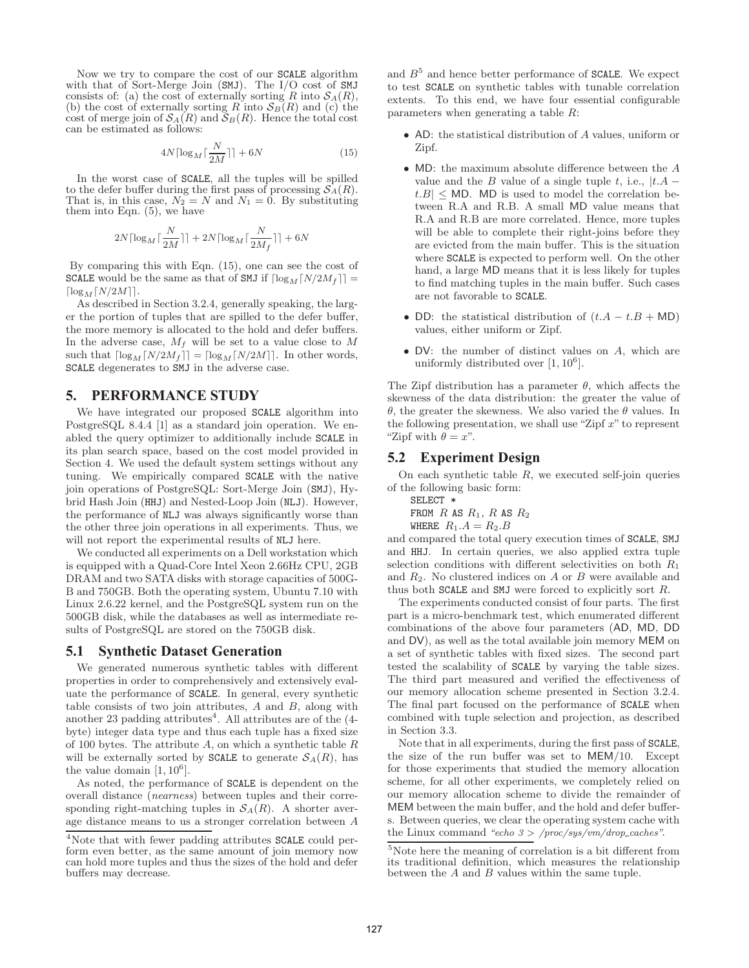Now we try to compare the cost of our SCALE algorithm with that of Sort-Merge Join (SMJ). The I/O cost of SMJ consists of: (a) the cost of externally sorting R into  $S<sub>A</sub>(R)$ , (b) the cost of externally sorting R into  $\mathcal{S}_{B}(R)$  and (c) the cost of merge join of  $S_A(R)$  and  $\overline{S_B(R)}$ . Hence the total cost can be estimated as follows:

$$
4N\lceil \log_M \lceil \frac{N}{2M} \rceil \rceil + 6N \tag{15}
$$

In the worst case of SCALE, all the tuples will be spilled to the defer buffer during the first pass of processing  $S_A(R)$ . That is, in this case,  $N_2 = N$  and  $N_1 = 0$ . By substituting them into Eqn. (5), we have

$$
2N\lceil\log_M\lceil\frac{N}{2M}\rceil\rceil+2N\lceil\log_M\lceil\frac{N}{2M_f}\rceil\rceil+6N
$$

By comparing this with Eqn. (15), one can see the cost of SCALE would be the same as that of SMJ if  $\lceil \log_M \lceil N/2M_f \rceil \rceil =$  $\lceil \log_M \lceil N/2M \rceil \rceil.$ 

As described in Section 3.2.4, generally speaking, the larger the portion of tuples that are spilled to the defer buffer, the more memory is allocated to the hold and defer buffers. In the adverse case,  $M_f$  will be set to a value close to  $M$ such that  $\lceil \log_M \lceil N/2M_f \rceil \rceil = \lceil \log_M \lceil N/2M \rceil \rceil$ . In other words, SCALE degenerates to SMJ in the adverse case.

# **5. PERFORMANCE STUDY**

We have integrated our proposed SCALE algorithm into PostgreSQL 8.4.4 [1] as a standard join operation. We enabled the query optimizer to additionally include SCALE in its plan search space, based on the cost model provided in Section 4. We used the default system settings without any tuning. We empirically compared SCALE with the native join operations of PostgreSQL: Sort-Merge Join (SMJ), Hybrid Hash Join (HHJ) and Nested-Loop Join (NLJ). However, the performance of NLJ was always significantly worse than the other three join operations in all experiments. Thus, we will not report the experimental results of NLJ here.

We conducted all experiments on a Dell workstation which is equipped with a Quad-Core Intel Xeon 2.66Hz CPU, 2GB DRAM and two SATA disks with storage capacities of 500G-B and 750GB. Both the operating system, Ubuntu 7.10 with Linux 2.6.22 kernel, and the PostgreSQL system run on the 500GB disk, while the databases as well as intermediate results of PostgreSQL are stored on the 750GB disk.

#### **5.1 Synthetic Dataset Generation**

We generated numerous synthetic tables with different properties in order to comprehensively and extensively evaluate the performance of SCALE. In general, every synthetic table consists of two join attributes, A and B, along with another 23 padding attributes<sup>4</sup>. All attributes are of the  $(4$ byte) integer data type and thus each tuple has a fixed size of 100 bytes. The attribute  $A$ , on which a synthetic table  $R$ will be externally sorted by SCALE to generate  $\mathcal{S}_{A}(R)$ , has the value domain  $[1, 10^6]$ .

As noted, the performance of SCALE is dependent on the overall distance (nearness) between tuples and their corresponding right-matching tuples in  $S<sub>A</sub>(R)$ . A shorter average distance means to us a stronger correlation between A

and  $B<sup>5</sup>$  and hence better performance of **SCALE**. We expect to test SCALE on synthetic tables with tunable correlation extents. To this end, we have four essential configurable parameters when generating a table R:

- AD: the statistical distribution of A values, uniform or Zipf.
- MD: the maximum absolute difference between the A value and the B value of a single tuple t, i.e.,  $|t.A$  $t.B \leq M.D. \text{MD}$  is used to model the correlation between R.A and R.B. A small MD value means that R.A and R.B are more correlated. Hence, more tuples will be able to complete their right-joins before they are evicted from the main buffer. This is the situation where SCALE is expected to perform well. On the other hand, a large MD means that it is less likely for tuples to find matching tuples in the main buffer. Such cases are not favorable to SCALE.
- DD: the statistical distribution of  $(t.A t.B + MD)$ values, either uniform or Zipf.
- DV: the number of distinct values on A, which are uniformly distributed over  $[1, 10^6]$ .

The Zipf distribution has a parameter  $\theta$ , which affects the skewness of the data distribution: the greater the value of θ, the greater the skewness. We also varied the θ values. In the following presentation, we shall use "Zipf  $x$ " to represent "Zipf with  $\theta = x$ ".

## **5.2 Experiment Design**

On each synthetic table  $R$ , we executed self-join queries of the following basic form:

SELECT 
$$
*
$$
  
\nFROM  $R$  AS  $R_1$ ,  $R$  AS  $R_2$   
\nWHERE  $R_1.A = R_2.B$ 

and compared the total query execution times of SCALE, SMJ and HHJ. In certain queries, we also applied extra tuple selection conditions with different selectivities on both  $R_1$ and  $R_2$ . No clustered indices on A or B were available and thus both SCALE and SMJ were forced to explicitly sort R.

The experiments conducted consist of four parts. The first part is a micro-benchmark test, which enumerated different combinations of the above four parameters (AD, MD, DD and DV), as well as the total available join memory MEM on a set of synthetic tables with fixed sizes. The second part tested the scalability of SCALE by varying the table sizes. The third part measured and verified the effectiveness of our memory allocation scheme presented in Section 3.2.4. The final part focused on the performance of SCALE when combined with tuple selection and projection, as described in Section 3.3.

Note that in all experiments, during the first pass of SCALE, the size of the run buffer was set to MEM/10. Except for those experiments that studied the memory allocation scheme, for all other experiments, we completely relied on our memory allocation scheme to divide the remainder of MEM between the main buffer, and the hold and defer buffers. Between queries, we clear the operating system cache with the Linux command "echo  $3 > /proc/sys/vm/drop\_caches"$ .

<sup>4</sup>Note that with fewer padding attributes SCALE could perform even better, as the same amount of join memory now can hold more tuples and thus the sizes of the hold and defer buffers may decrease.

<sup>5</sup>Note here the meaning of correlation is a bit different from its traditional definition, which measures the relationship between the  $A$  and  $B$  values within the same tuple.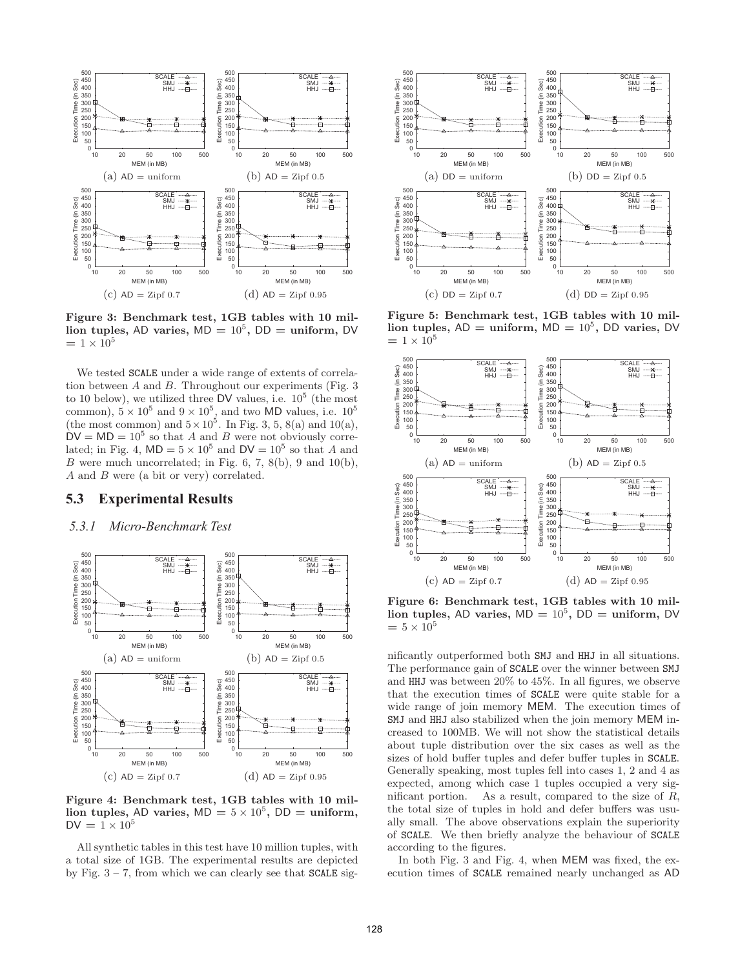

**Figure 3: Benchmark test, 1GB tables with 10 million tuples,** AD varies,  $MD = 10^5$ ,  $DD =$  uniform, DV  $= 1 \times 10^5$ 

We tested SCALE under a wide range of extents of correlation between A and B. Throughout our experiments (Fig. 3 to 10 below), we utilized three DV values, i.e.  $10^5$  (the most common),  $5 \times 10^5$  and  $9 \times 10^5$ , and two MD values, i.e.  $10^5$ (the most common) and  $5 \times 10^5$ . In Fig. 3, 5, 8(a) and 10(a),  $DV = MD = 10<sup>5</sup>$  so that A and B were not obviously correlated; in Fig. 4,  $MD = 5 \times 10^5$  and  $DV = 10^5$  so that A and B were much uncorrelated; in Fig. 6, 7, 8(b), 9 and 10(b), A and B were (a bit or very) correlated.

#### **5.3 Experimental Results**

## *5.3.1 Micro-Benchmark Test*



**Figure 4: Benchmark test, 1GB tables with 10 million tuples,** AD varies,  $MD = 5 \times 10^5$ ,  $DD =$  uniform,  $DV = 1 \times 10^5$ 

All synthetic tables in this test have 10 million tuples, with a total size of 1GB. The experimental results are depicted by Fig.  $3 - 7$ , from which we can clearly see that **SCALE** sig-



**Figure 5: Benchmark test, 1GB tables with 10 million tuples,**  $AD =$  uniform,  $MD = 10^5$ ,  $DD$  varies,  $DV$  $= 1 \times 10^5$ 



**Figure 6: Benchmark test, 1GB tables with 10 million tuples,** AD varies,  $MD = 10^5$ ,  $DD =$  uniform, DV  $= 5 \times 10^{5}$ 

nificantly outperformed both SMJ and HHJ in all situations. The performance gain of SCALE over the winner between SMJ and HHJ was between 20% to 45%. In all figures, we observe that the execution times of SCALE were quite stable for a wide range of join memory MEM. The execution times of SMJ and HHJ also stabilized when the join memory MEM increased to 100MB. We will not show the statistical details about tuple distribution over the six cases as well as the sizes of hold buffer tuples and defer buffer tuples in SCALE. Generally speaking, most tuples fell into cases 1, 2 and 4 as expected, among which case 1 tuples occupied a very significant portion. As a result, compared to the size of  $R$ , the total size of tuples in hold and defer buffers was usually small. The above observations explain the superiority of SCALE. We then briefly analyze the behaviour of SCALE according to the figures.

In both Fig. 3 and Fig. 4, when MEM was fixed, the execution times of SCALE remained nearly unchanged as AD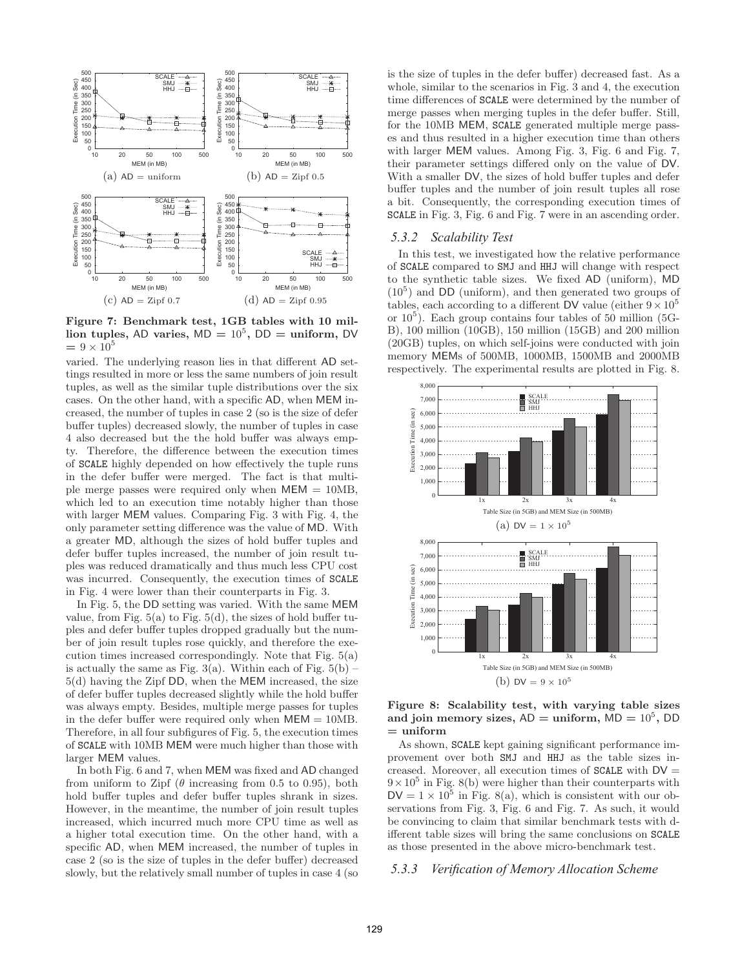

**Figure 7: Benchmark test, 1GB tables with 10 million tuples,** AD varies,  $MD = 10^5$ ,  $DD =$  uniform, DV  $= 9 \times 10^{5}$ 

varied. The underlying reason lies in that different AD settings resulted in more or less the same numbers of join result tuples, as well as the similar tuple distributions over the six cases. On the other hand, with a specific AD, when MEM increased, the number of tuples in case 2 (so is the size of defer buffer tuples) decreased slowly, the number of tuples in case 4 also decreased but the the hold buffer was always empty. Therefore, the difference between the execution times of SCALE highly depended on how effectively the tuple runs in the defer buffer were merged. The fact is that multiple merge passes were required only when  $MEM = 10MB$ , which led to an execution time notably higher than those with larger MEM values. Comparing Fig. 3 with Fig. 4, the only parameter setting difference was the value of MD. With a greater MD, although the sizes of hold buffer tuples and defer buffer tuples increased, the number of join result tuples was reduced dramatically and thus much less CPU cost was incurred. Consequently, the execution times of SCALE in Fig. 4 were lower than their counterparts in Fig. 3.

In Fig. 5, the DD setting was varied. With the same MEM value, from Fig. 5(a) to Fig. 5(d), the sizes of hold buffer tuples and defer buffer tuples dropped gradually but the number of join result tuples rose quickly, and therefore the execution times increased correspondingly. Note that Fig. 5(a) is actually the same as Fig.  $3(a)$ . Within each of Fig.  $5(b)$  – 5(d) having the Zipf DD, when the MEM increased, the size of defer buffer tuples decreased slightly while the hold buffer was always empty. Besides, multiple merge passes for tuples in the defer buffer were required only when  $MEM = 10MB$ . Therefore, in all four subfigures of Fig. 5, the execution times of SCALE with 10MB MEM were much higher than those with larger MEM values.

In both Fig. 6 and 7, when MEM was fixed and AD changed from uniform to Zipf  $(\theta$  increasing from 0.5 to 0.95), both hold buffer tuples and defer buffer tuples shrank in sizes. However, in the meantime, the number of join result tuples increased, which incurred much more CPU time as well as a higher total execution time. On the other hand, with a specific AD, when MEM increased, the number of tuples in case 2 (so is the size of tuples in the defer buffer) decreased slowly, but the relatively small number of tuples in case 4 (so is the size of tuples in the defer buffer) decreased fast. As a whole, similar to the scenarios in Fig. 3 and 4, the execution time differences of SCALE were determined by the number of merge passes when merging tuples in the defer buffer. Still, for the 10MB MEM, SCALE generated multiple merge passes and thus resulted in a higher execution time than others with larger MEM values. Among Fig. 3, Fig. 6 and Fig. 7, their parameter settings differed only on the value of DV. With a smaller DV, the sizes of hold buffer tuples and defer buffer tuples and the number of join result tuples all rose a bit. Consequently, the corresponding execution times of SCALE in Fig. 3, Fig. 6 and Fig. 7 were in an ascending order.

#### *5.3.2 Scalability Test*

In this test, we investigated how the relative performance of SCALE compared to SMJ and HHJ will change with respect to the synthetic table sizes. We fixed AD (uniform), MD  $(10<sup>5</sup>)$  and DD (uniform), and then generated two groups of tables, each according to a different DV value (either  $9 \times 10^5$ ) or  $10^5$ ). Each group contains four tables of 50 million (5G-B), 100 million (10GB), 150 million (15GB) and 200 million (20GB) tuples, on which self-joins were conducted with join memory MEMs of 500MB, 1000MB, 1500MB and 2000MB respectively. The experimental results are plotted in Fig. 8.



**Figure 8: Scalability test, with varying table sizes** and join memory sizes,  $AD =$  uniform,  $MD = 10^5$ , DD **= uniform**

As shown, SCALE kept gaining significant performance improvement over both SMJ and HHJ as the table sizes increased. Moreover, all execution times of  $SCALE$  with  $DV =$  $9 \times 10^5$  in Fig. 8(b) were higher than their counterparts with  $DV = 1 \times 10^5$  in Fig. 8(a), which is consistent with our observations from Fig. 3, Fig. 6 and Fig. 7. As such, it would be convincing to claim that similar benchmark tests with different table sizes will bring the same conclusions on SCALE as those presented in the above micro-benchmark test.

### *5.3.3 Verification of Memory Allocation Scheme*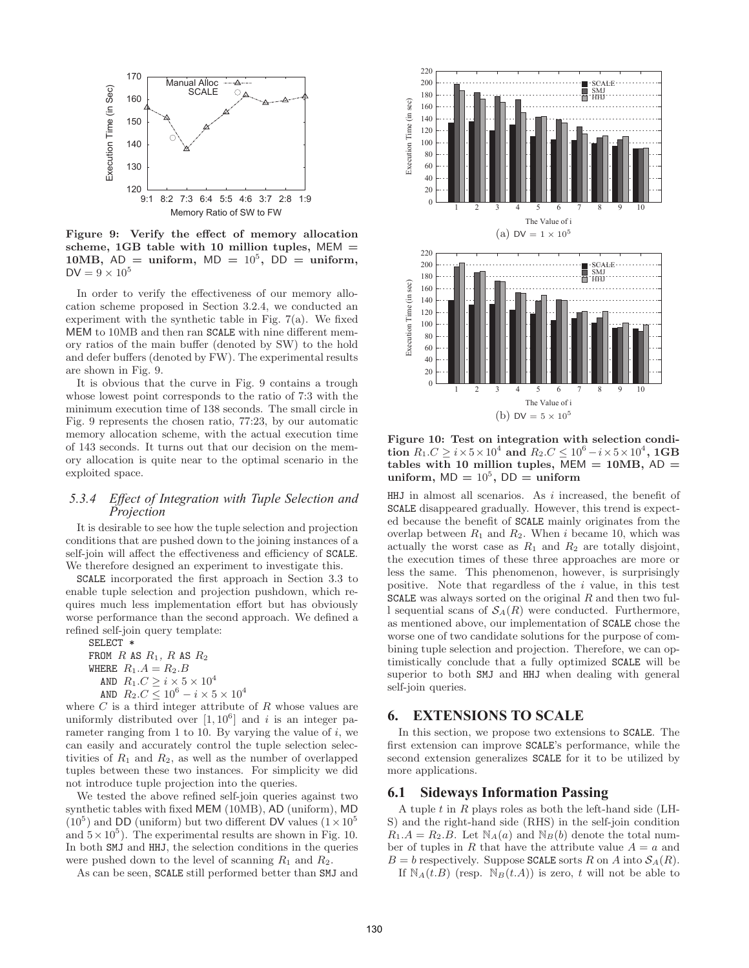

**Figure 9: Verify the effect of memory allocation scheme, 1GB table with 10 million tuples,** MEM **=** 10MB,  $AD = \text{uniform}$ ,  $MD = 10^5$ ,  $DD = \text{uniform}$ ,  $DV = 9 \times 10^5$ 

In order to verify the effectiveness of our memory allocation scheme proposed in Section 3.2.4, we conducted an experiment with the synthetic table in Fig.  $7(a)$ . We fixed MEM to 10MB and then ran SCALE with nine different memory ratios of the main buffer (denoted by SW) to the hold and defer buffers (denoted by FW). The experimental results are shown in Fig. 9.

It is obvious that the curve in Fig. 9 contains a trough whose lowest point corresponds to the ratio of 7:3 with the minimum execution time of 138 seconds. The small circle in Fig. 9 represents the chosen ratio, 77:23, by our automatic memory allocation scheme, with the actual execution time of 143 seconds. It turns out that our decision on the memory allocation is quite near to the optimal scenario in the exploited space.

#### *5.3.4 Effect of Integration with Tuple Selection and Projection*

It is desirable to see how the tuple selection and projection conditions that are pushed down to the joining instances of a self-join will affect the effectiveness and efficiency of SCALE. We therefore designed an experiment to investigate this.

SCALE incorporated the first approach in Section 3.3 to enable tuple selection and projection pushdown, which requires much less implementation effort but has obviously worse performance than the second approach. We defined a refined self-join query template:

SELECT \* FROM  $R$  AS  $R_1$ ,  $R$  AS  $R_2$ WHERE  $R_1.A = R_2.B$ AND  $\,R_1.C \geq i \times 5 \times 10^4$ AND  $R_2.C \le 10^6 - i \times 5 \times 10^4$ 

where  $C$  is a third integer attribute of  $R$  whose values are uniformly distributed over  $[1, 10^6]$  and i is an integer parameter ranging from 1 to 10. By varying the value of  $i$ , we can easily and accurately control the tuple selection selectivities of  $R_1$  and  $R_2$ , as well as the number of overlapped tuples between these two instances. For simplicity we did not introduce tuple projection into the queries.

We tested the above refined self-join queries against two synthetic tables with fixed MEM (10MB), AD (uniform), MD  $(10^5)$  and DD (uniform) but two different DV values  $(1 \times 10^5)$ and  $5 \times 10^5$ ). The experimental results are shown in Fig. 10. In both SMJ and HHJ, the selection conditions in the queries were pushed down to the level of scanning  $R_1$  and  $R_2$ .

As can be seen, SCALE still performed better than SMJ and



**Figure 10: Test on integration with selection condition**  $R_1.C \ge i \times 5 \times 10^4$  **and**  $R_2.C \le 10^6 - i \times 5 \times 10^4$ , **1GB**  $tables$  with 10 million tuples,  $MEM = 10MB$ ,  $AD =$  $uniform, MD = 10<sup>5</sup>, DD = uniform$ 

 $HHJ$  in almost all scenarios. As i increased, the benefit of SCALE disappeared gradually. However, this trend is expected because the benefit of SCALE mainly originates from the overlap between  $R_1$  and  $R_2$ . When i became 10, which was actually the worst case as  $R_1$  and  $R_2$  are totally disjoint, the execution times of these three approaches are more or less the same. This phenomenon, however, is surprisingly positive. Note that regardless of the  $i$  value, in this test SCALE was always sorted on the original  $R$  and then two full sequential scans of  $S_A(R)$  were conducted. Furthermore, as mentioned above, our implementation of SCALE chose the worse one of two candidate solutions for the purpose of combining tuple selection and projection. Therefore, we can optimistically conclude that a fully optimized SCALE will be superior to both SMJ and HHJ when dealing with general self-join queries.

# **6. EXTENSIONS TO SCALE**

In this section, we propose two extensions to SCALE. The first extension can improve SCALE's performance, while the second extension generalizes SCALE for it to be utilized by more applications.

## **6.1 Sideways Information Passing**

A tuple t in R plays roles as both the left-hand side (LH-S) and the right-hand side (RHS) in the self-join condition  $R_1.A = R_2.B.$  Let  $\mathbb{N}_A(a)$  and  $\mathbb{N}_B(b)$  denote the total number of tuples in R that have the attribute value  $A = a$  and  $B = b$  respectively. Suppose SCALE sorts R on A into  $S<sub>A</sub>(R)$ . If  $\mathbb{N}_A(t,B)$  (resp.  $\mathbb{N}_B(t,A)$ ) is zero, t will not be able to